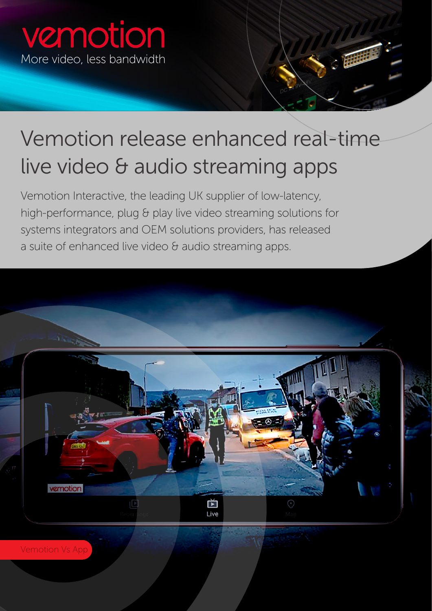

## Vemotion release enhanced real-time live video & audio streaming apps

Vemotion Interactive, the leading UK supplier of low-latency, high-performance, plug & play live video streaming solutions for systems integrators and OEM solutions providers, has released a suite of enhanced live video & audio streaming apps.